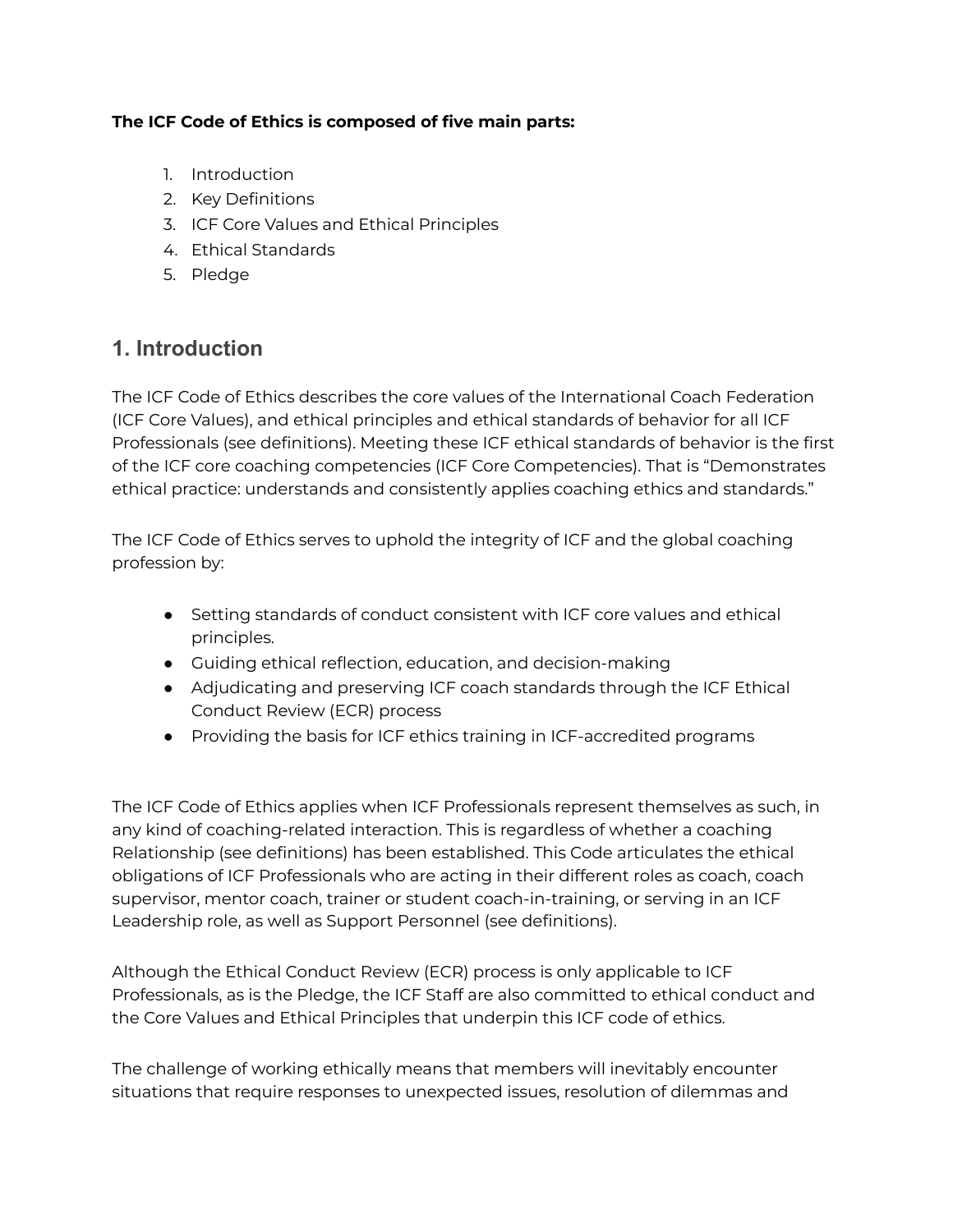#### **The ICF Code of Ethics is composed of five main parts:**

- 1. Introduction
- 2. Key Definitions
- 3. ICF Core Values and Ethical Principles
- 4. Ethical Standards
- 5. Pledge

#### **1. Introduction**

The ICF Code of Ethics describes the core values of the International Coach Federation (ICF Core Values), and ethical principles and ethical standards of behavior for all ICF Professionals (see definitions). Meeting these ICF ethical standards of behavior is the first of the ICF core coaching competencies (ICF Core Competencies). That is "Demonstrates ethical practice: understands and consistently applies coaching ethics and standards."

The ICF Code of Ethics serves to uphold the integrity of ICF and the global coaching profession by:

- Setting standards of conduct consistent with ICF core values and ethical principles.
- Guiding ethical reflection, education, and decision-making
- Adjudicating and preserving ICF coach standards through the ICF Ethical Conduct Review (ECR) process
- Providing the basis for ICF ethics training in ICF-accredited programs

The ICF Code of Ethics applies when ICF Professionals represent themselves as such, in any kind of coaching-related interaction. This is regardless of whether a coaching Relationship (see definitions) has been established. This Code articulates the ethical obligations of ICF Professionals who are acting in their different roles as coach, coach supervisor, mentor coach, trainer or student coach-in-training, or serving in an ICF Leadership role, as well as Support Personnel (see definitions).

Although the Ethical Conduct Review (ECR) process is only applicable to ICF Professionals, as is the Pledge, the ICF Staff are also committed to ethical conduct and the Core Values and Ethical Principles that underpin this ICF code of ethics.

The challenge of working ethically means that members will inevitably encounter situations that require responses to unexpected issues, resolution of dilemmas and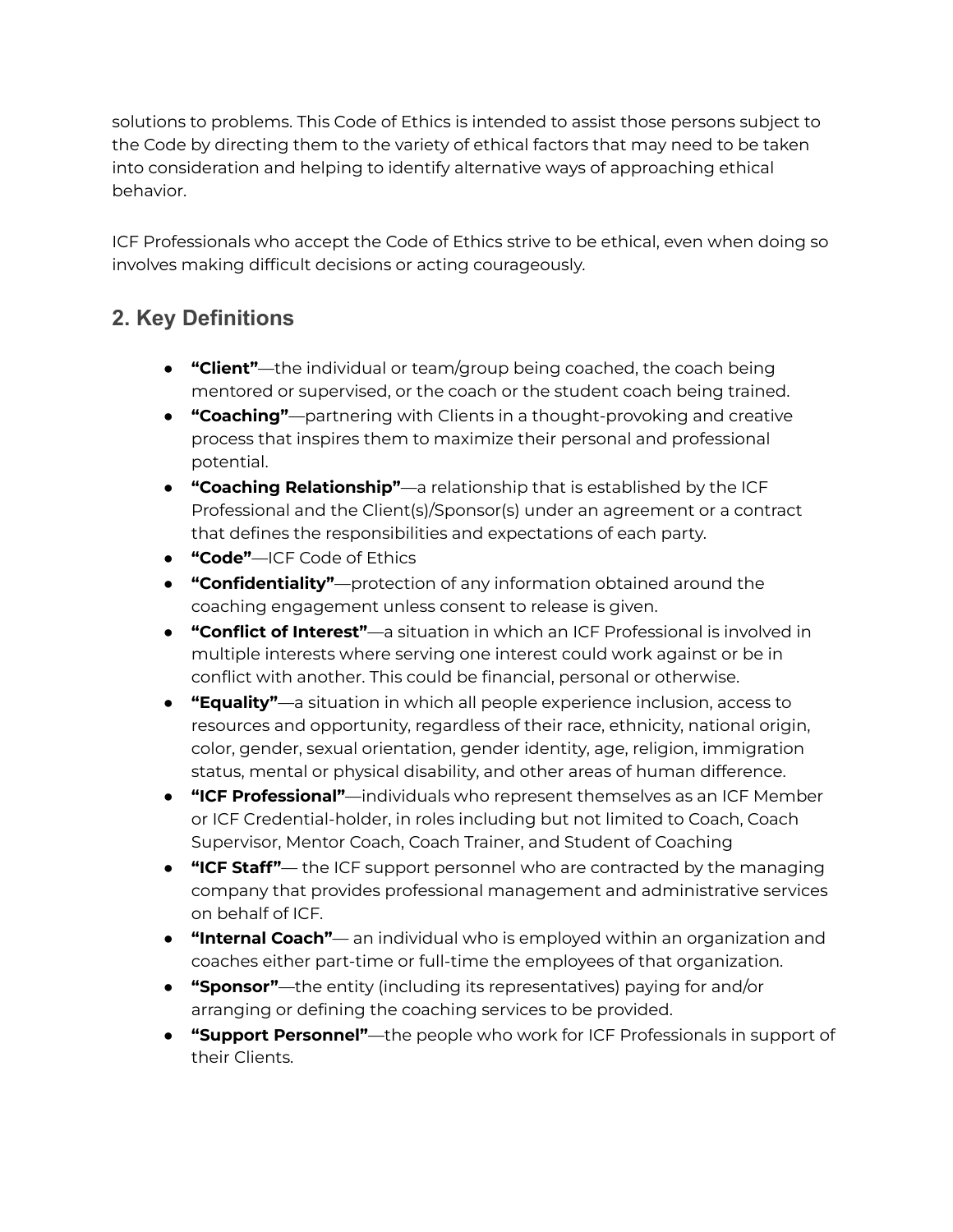solutions to problems. This Code of Ethics is intended to assist those persons subject to the Code by directing them to the variety of ethical factors that may need to be taken into consideration and helping to identify alternative ways of approaching ethical behavior.

ICF Professionals who accept the Code of Ethics strive to be ethical, even when doing so involves making difficult decisions or acting courageously.

## **2. Key Definitions**

- **"Client"**—the individual or team/group being coached, the coach being mentored or supervised, or the coach or the student coach being trained.
- **"Coaching"**—partnering with Clients in a thought-provoking and creative process that inspires them to maximize their personal and professional potential.
- **"Coaching Relationship"**—a relationship that is established by the ICF Professional and the Client(s)/Sponsor(s) under an agreement or a contract that defines the responsibilities and expectations of each party.
- **"Code"**—ICF Code of Ethics
- **"Confidentiality"**—protection of any information obtained around the coaching engagement unless consent to release is given.
- **"Conflict of Interest"**—a situation in which an ICF Professional is involved in multiple interests where serving one interest could work against or be in conflict with another. This could be financial, personal or otherwise.
- **"Equality"**—a situation in which all people experience inclusion, access to resources and opportunity, regardless of their race, ethnicity, national origin, color, gender, sexual orientation, gender identity, age, religion, immigration status, mental or physical disability, and other areas of human difference.
- **"ICF Professional"**—individuals who represent themselves as an ICF Member or ICF Credential-holder, in roles including but not limited to Coach, Coach Supervisor, Mentor Coach, Coach Trainer, and Student of Coaching
- **"ICF Staff"** the ICF support personnel who are contracted by the managing company that provides professional management and administrative services on behalf of ICF.
- **"Internal Coach"** an individual who is employed within an organization and coaches either part-time or full-time the employees of that organization.
- **"Sponsor"**—the entity (including its representatives) paying for and/or arranging or defining the coaching services to be provided.
- **"Support Personnel"**—the people who work for ICF Professionals in support of their Clients.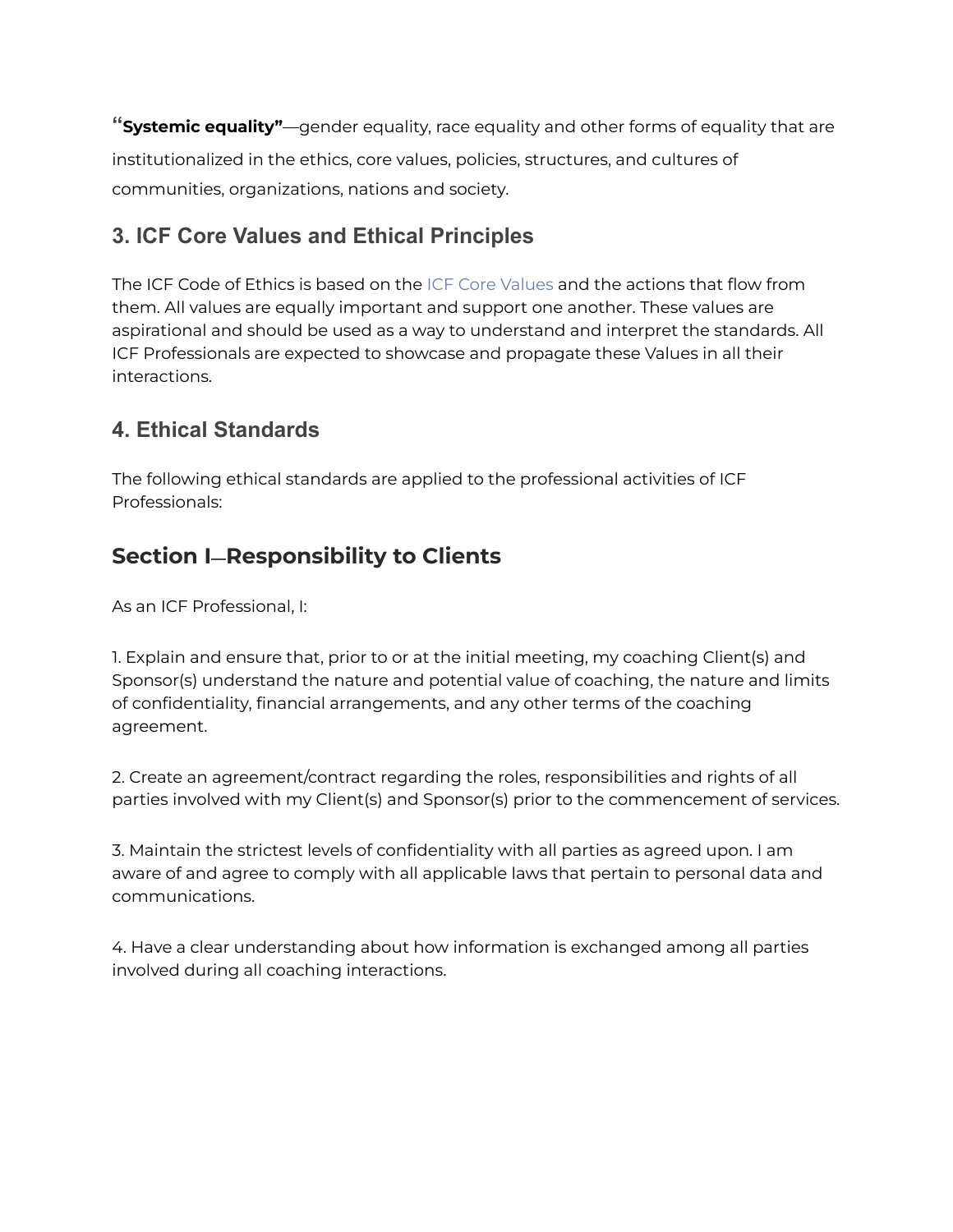**"Systemic equality"**—gender equality, race equality and other forms of equality that are institutionalized in the ethics, core values, policies, structures, and cultures of communities, organizations, nations and society.

### **3. ICF Core Values and Ethical Principles**

The ICF Code of Ethics is based on the ICF Core [Values](https://coachfederation.org/about) and the actions that flow from them. All values are equally important and support one another. These values are aspirational and should be used as a way to understand and interpret the standards. All ICF Professionals are expected to showcase and propagate these Values in all their interactions.

### **4. Ethical Standards**

The following ethical standards are applied to the professional activities of ICF Professionals:

## **Section I—Responsibility to Clients**

As an ICF Professional, I:

1. Explain and ensure that, prior to or at the initial meeting, my coaching Client(s) and Sponsor(s) understand the nature and potential value of coaching, the nature and limits of confidentiality, financial arrangements, and any other terms of the coaching agreement.

2. Create an agreement/contract regarding the roles, responsibilities and rights of all parties involved with my Client(s) and Sponsor(s) prior to the commencement of services.

3. Maintain the strictest levels of confidentiality with all parties as agreed upon. I am aware of and agree to comply with all applicable laws that pertain to personal data and communications.

4. Have a clear understanding about how information is exchanged among all parties involved during all coaching interactions.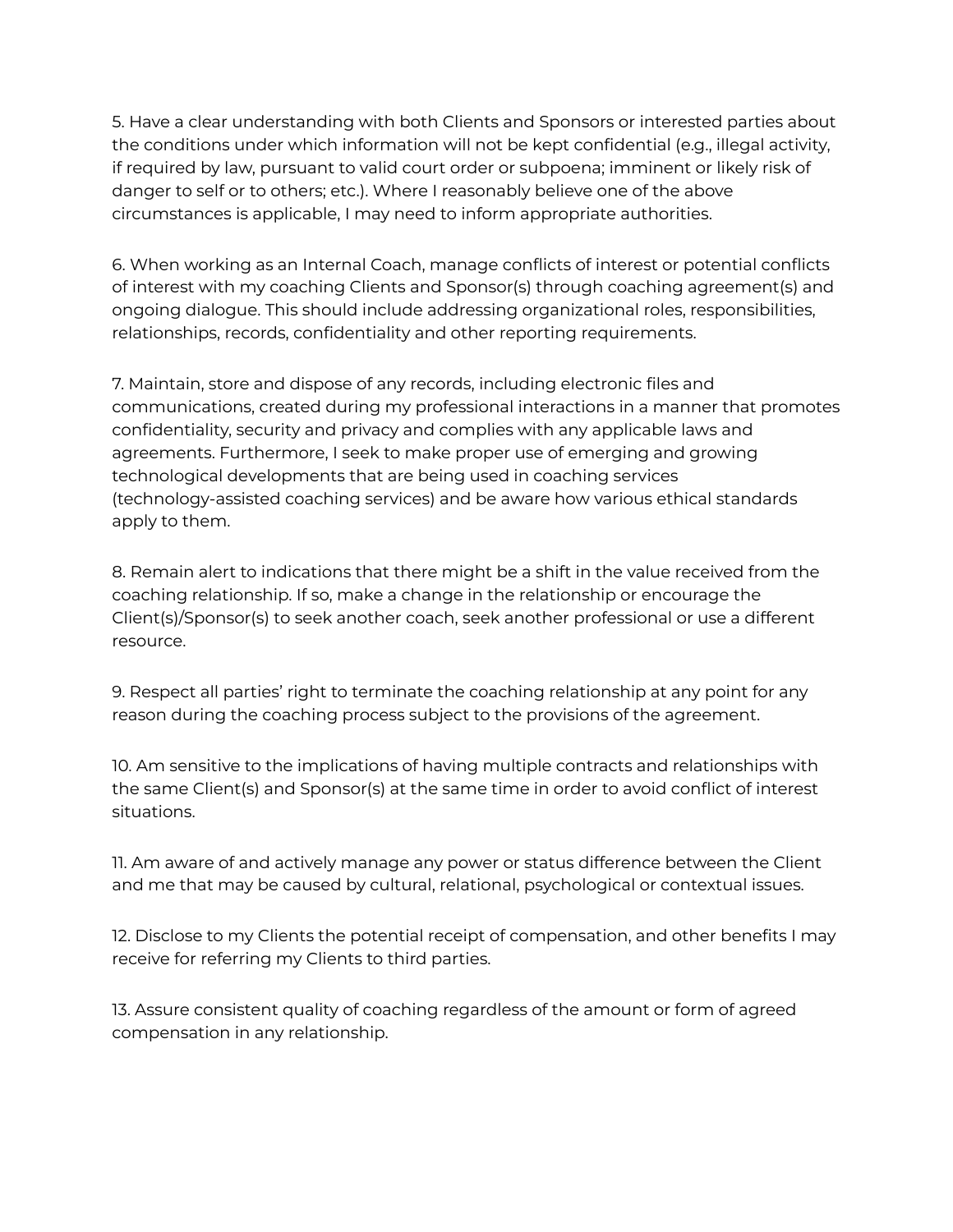5. Have a clear understanding with both Clients and Sponsors or interested parties about the conditions under which information will not be kept confidential (e.g., illegal activity, if required by law, pursuant to valid court order or subpoena; imminent or likely risk of danger to self or to others; etc.). Where I reasonably believe one of the above circumstances is applicable, I may need to inform appropriate authorities.

6. When working as an Internal Coach, manage conflicts of interest or potential conflicts of interest with my coaching Clients and Sponsor(s) through coaching agreement(s) and ongoing dialogue. This should include addressing organizational roles, responsibilities, relationships, records, confidentiality and other reporting requirements.

7. Maintain, store and dispose of any records, including electronic files and communications, created during my professional interactions in a manner that promotes confidentiality, security and privacy and complies with any applicable laws and agreements. Furthermore, I seek to make proper use of emerging and growing technological developments that are being used in coaching services (technology-assisted coaching services) and be aware how various ethical standards apply to them.

8. Remain alert to indications that there might be a shift in the value received from the coaching relationship. If so, make a change in the relationship or encourage the Client(s)/Sponsor(s) to seek another coach, seek another professional or use a different resource.

9. Respect all parties' right to terminate the coaching relationship at any point for any reason during the coaching process subject to the provisions of the agreement.

10. Am sensitive to the implications of having multiple contracts and relationships with the same Client(s) and Sponsor(s) at the same time in order to avoid conflict of interest situations.

11. Am aware of and actively manage any power or status difference between the Client and me that may be caused by cultural, relational, psychological or contextual issues.

12. Disclose to my Clients the potential receipt of compensation, and other benefits I may receive for referring my Clients to third parties.

13. Assure consistent quality of coaching regardless of the amount or form of agreed compensation in any relationship.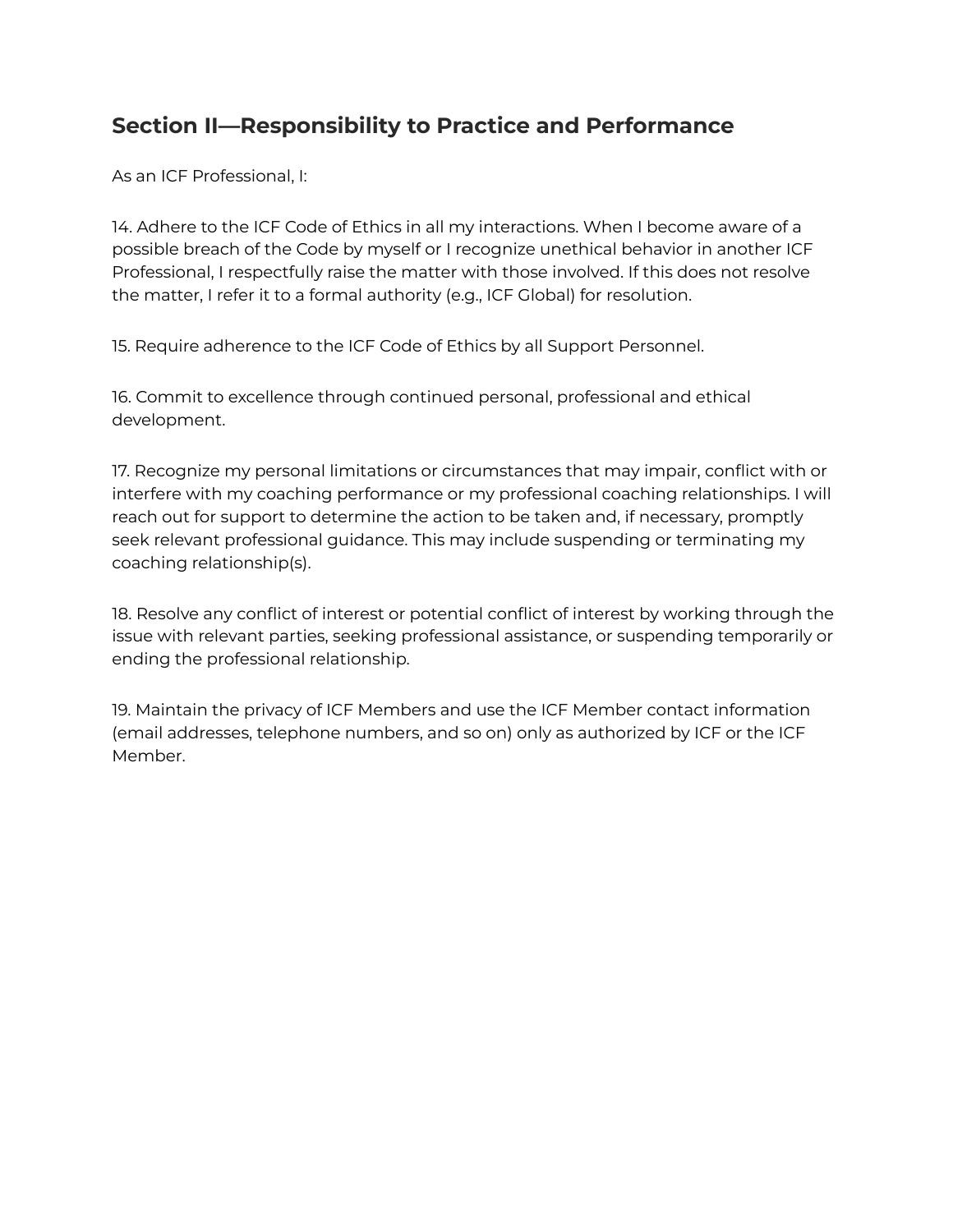## **Section II—Responsibility to Practice and Performance**

As an ICF Professional, I:

14. Adhere to the ICF Code of Ethics in all my interactions. When I become aware of a possible breach of the Code by myself or I recognize unethical behavior in another ICF Professional, I respectfully raise the matter with those involved. If this does not resolve the matter, I refer it to a formal authority (e.g., ICF Global) for resolution.

15. Require adherence to the ICF Code of Ethics by all Support Personnel.

16. Commit to excellence through continued personal, professional and ethical development.

17. Recognize my personal limitations or circumstances that may impair, conflict with or interfere with my coaching performance or my professional coaching relationships. I will reach out for support to determine the action to be taken and, if necessary, promptly seek relevant professional guidance. This may include suspending or terminating my coaching relationship(s).

18. Resolve any conflict of interest or potential conflict of interest by working through the issue with relevant parties, seeking professional assistance, or suspending temporarily or ending the professional relationship.

19. Maintain the privacy of ICF Members and use the ICF Member contact information (email addresses, telephone numbers, and so on) only as authorized by ICF or the ICF Member.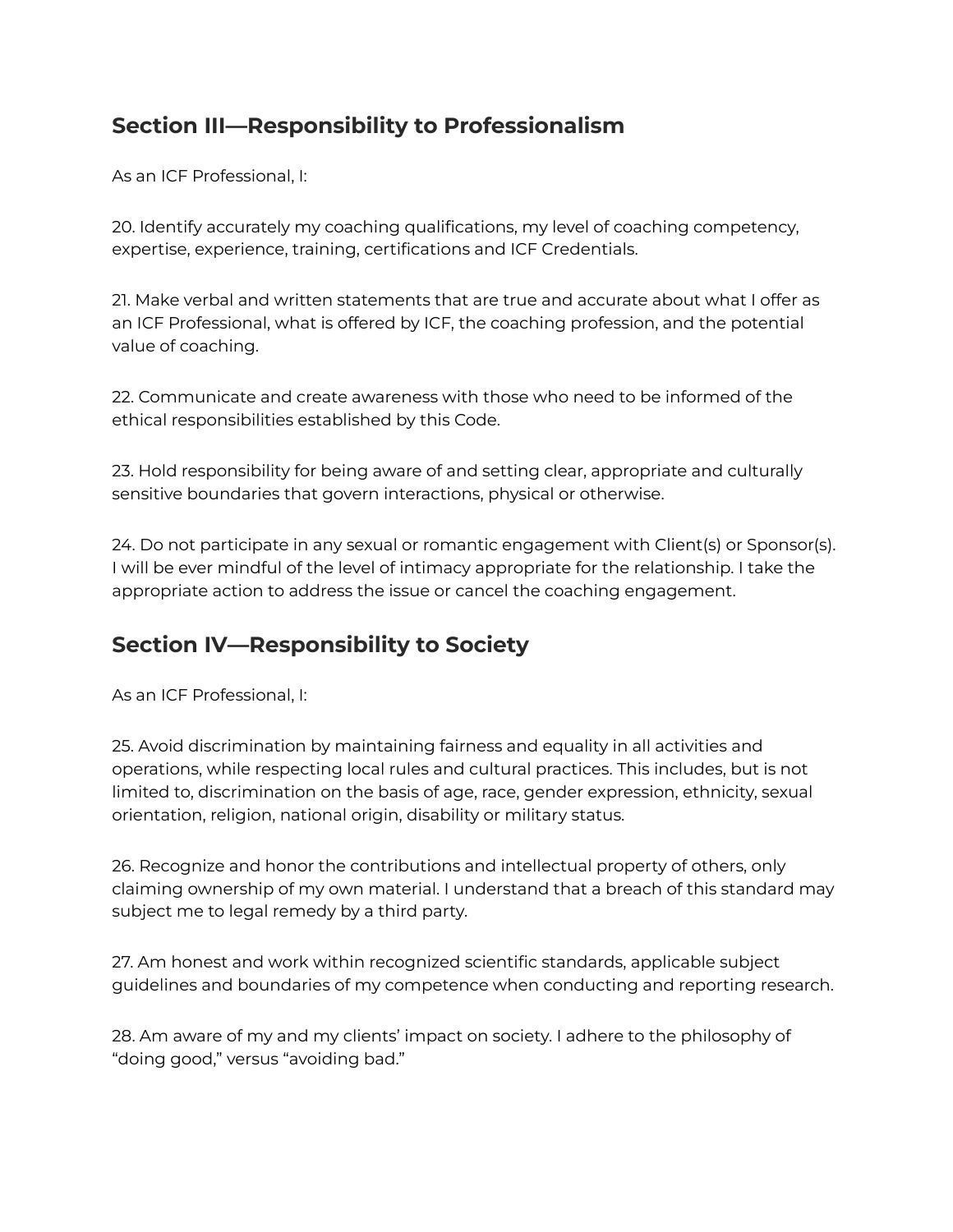## **Section III—Responsibility to Professionalism**

As an ICF Professional, I:

20. Identify accurately my coaching qualifications, my level of coaching competency, expertise, experience, training, certifications and ICF Credentials.

21. Make verbal and written statements that are true and accurate about what I offer as an ICF Professional, what is offered by ICF, the coaching profession, and the potential value of coaching.

22. Communicate and create awareness with those who need to be informed of the ethical responsibilities established by this Code.

23. Hold responsibility for being aware of and setting clear, appropriate and culturally sensitive boundaries that govern interactions, physical or otherwise.

24. Do not participate in any sexual or romantic engagement with Client(s) or Sponsor(s). I will be ever mindful of the level of intimacy appropriate for the relationship. I take the appropriate action to address the issue or cancel the coaching engagement.

# **Section IV—Responsibility to Society**

As an ICF Professional, I:

25. Avoid discrimination by maintaining fairness and equality in all activities and operations, while respecting local rules and cultural practices. This includes, but is not limited to, discrimination on the basis of age, race, gender expression, ethnicity, sexual orientation, religion, national origin, disability or military status.

26. Recognize and honor the contributions and intellectual property of others, only claiming ownership of my own material. I understand that a breach of this standard may subject me to legal remedy by a third party.

27. Am honest and work within recognized scientific standards, applicable subject guidelines and boundaries of my competence when conducting and reporting research.

28. Am aware of my and my clients' impact on society. I adhere to the philosophy of "doing good," versus "avoiding bad."